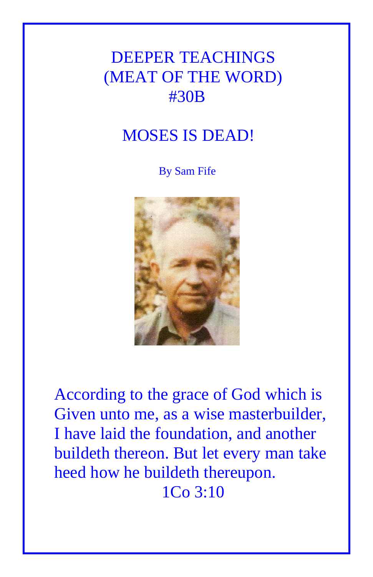# DEEPER TEACHINGS (MEAT OF THE WORD) #30B

## MOSES IS DEAD!

By Sam Fife



According to the grace of God which is Given unto me, as a wise masterbuilder, I have laid the foundation, and another buildeth thereon. But let every man take heed how he buildeth thereupon. 1Co 3:10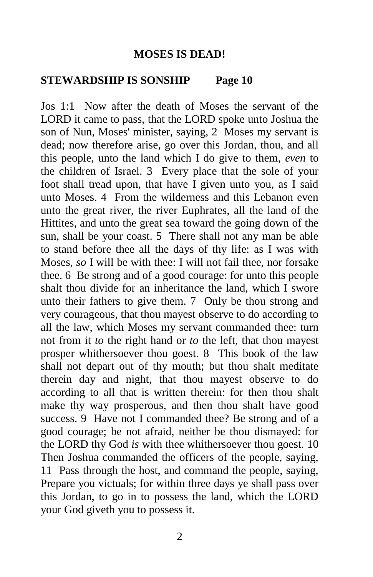#### **MOSES IS DEAD!**

#### **STEWARDSHIP IS SONSHIP Page 10**

Jos 1:1 Now after the death of Moses the servant of the LORD it came to pass, that the LORD spoke unto Joshua the son of Nun, Moses' minister, saying, 2 Moses my servant is dead; now therefore arise, go over this Jordan, thou, and all this people, unto the land which I do give to them, *even* to the children of Israel. 3 Every place that the sole of your foot shall tread upon, that have I given unto you, as I said unto Moses. 4 From the wilderness and this Lebanon even unto the great river, the river Euphrates, all the land of the Hittites, and unto the great sea toward the going down of the sun, shall be your coast. 5 There shall not any man be able to stand before thee all the days of thy life: as I was with Moses, *so* I will be with thee: I will not fail thee, nor forsake thee. 6 Be strong and of a good courage: for unto this people shalt thou divide for an inheritance the land, which I swore unto their fathers to give them. 7 Only be thou strong and very courageous, that thou mayest observe to do according to all the law, which Moses my servant commanded thee: turn not from it *to* the right hand or *to* the left, that thou mayest prosper whithersoever thou goest. 8 This book of the law shall not depart out of thy mouth; but thou shalt meditate therein day and night, that thou mayest observe to do according to all that is written therein: for then thou shalt make thy way prosperous, and then thou shalt have good success. 9 Have not I commanded thee? Be strong and of a good courage; be not afraid, neither be thou dismayed: for the LORD thy God *is* with thee whithersoever thou goest. 10 Then Joshua commanded the officers of the people, saying, 11 Pass through the host, and command the people, saying, Prepare you victuals; for within three days ye shall pass over this Jordan, to go in to possess the land, which the LORD your God giveth you to possess it.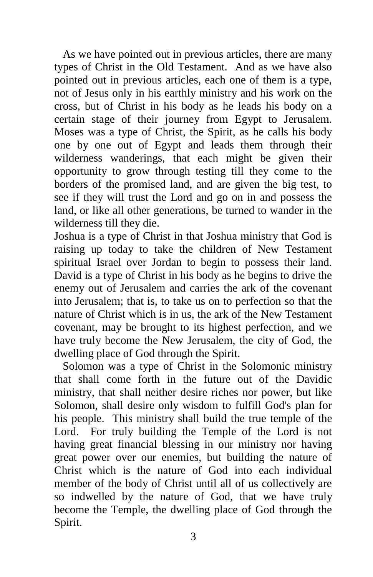As we have pointed out in previous articles, there are many types of Christ in the Old Testament. And as we have also pointed out in previous articles, each one of them is a type, not of Jesus only in his earthly ministry and his work on the cross, but of Christ in his body as he leads his body on a certain stage of their journey from Egypt to Jerusalem. Moses was a type of Christ, the Spirit, as he calls his body one by one out of Egypt and leads them through their wilderness wanderings, that each might be given their opportunity to grow through testing till they come to the borders of the promised land, and are given the big test, to see if they will trust the Lord and go on in and possess the land, or like all other generations, be turned to wander in the wilderness till they die.

Joshua is a type of Christ in that Joshua ministry that God is raising up today to take the children of New Testament spiritual Israel over Jordan to begin to possess their land. David is a type of Christ in his body as he begins to drive the enemy out of Jerusalem and carries the ark of the covenant into Jerusalem; that is, to take us on to perfection so that the nature of Christ which is in us, the ark of the New Testament covenant, may be brought to its highest perfection, and we have truly become the New Jerusalem, the city of God, the dwelling place of God through the Spirit.

 Solomon was a type of Christ in the Solomonic ministry that shall come forth in the future out of the Davidic ministry, that shall neither desire riches nor power, but like Solomon, shall desire only wisdom to fulfill God's plan for his people. This ministry shall build the true temple of the Lord. For truly building the Temple of the Lord is not having great financial blessing in our ministry nor having great power over our enemies, but building the nature of Christ which is the nature of God into each individual member of the body of Christ until all of us collectively are so indwelled by the nature of God, that we have truly become the Temple, the dwelling place of God through the Spirit.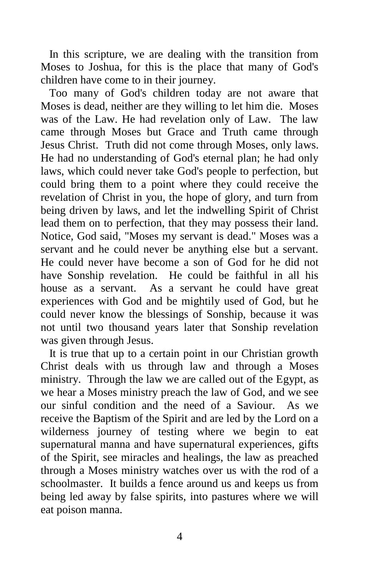In this scripture, we are dealing with the transition from Moses to Joshua, for this is the place that many of God's children have come to in their journey.

 Too many of God's children today are not aware that Moses is dead, neither are they willing to let him die. Moses was of the Law. He had revelation only of Law. The law came through Moses but Grace and Truth came through Jesus Christ. Truth did not come through Moses, only laws. He had no understanding of God's eternal plan; he had only laws, which could never take God's people to perfection, but could bring them to a point where they could receive the revelation of Christ in you, the hope of glory, and turn from being driven by laws, and let the indwelling Spirit of Christ lead them on to perfection, that they may possess their land. Notice, God said, "Moses my servant is dead." Moses was a servant and he could never be anything else but a servant. He could never have become a son of God for he did not have Sonship revelation. He could be faithful in all his house as a servant. As a servant he could have great experiences with God and be mightily used of God, but he could never know the blessings of Sonship, because it was not until two thousand years later that Sonship revelation was given through Jesus.

 It is true that up to a certain point in our Christian growth Christ deals with us through law and through a Moses ministry. Through the law we are called out of the Egypt, as we hear a Moses ministry preach the law of God, and we see our sinful condition and the need of a Saviour. As we receive the Baptism of the Spirit and are led by the Lord on a wilderness journey of testing where we begin to eat supernatural manna and have supernatural experiences, gifts of the Spirit, see miracles and healings, the law as preached through a Moses ministry watches over us with the rod of a schoolmaster. It builds a fence around us and keeps us from being led away by false spirits, into pastures where we will eat poison manna.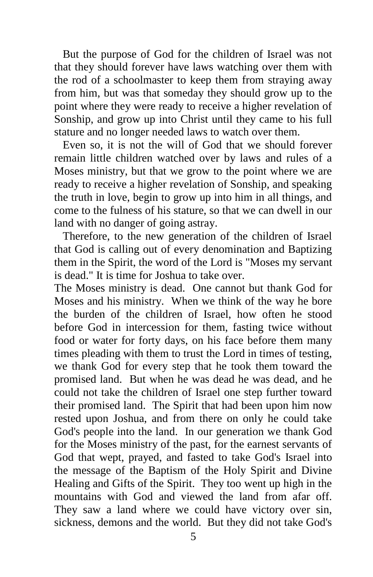But the purpose of God for the children of Israel was not that they should forever have laws watching over them with the rod of a schoolmaster to keep them from straying away from him, but was that someday they should grow up to the point where they were ready to receive a higher revelation of Sonship, and grow up into Christ until they came to his full stature and no longer needed laws to watch over them.

 Even so, it is not the will of God that we should forever remain little children watched over by laws and rules of a Moses ministry, but that we grow to the point where we are ready to receive a higher revelation of Sonship, and speaking the truth in love, begin to grow up into him in all things, and come to the fulness of his stature, so that we can dwell in our land with no danger of going astray.

 Therefore, to the new generation of the children of Israel that God is calling out of every denomination and Baptizing them in the Spirit, the word of the Lord is "Moses my servant is dead." It is time for Joshua to take over.

The Moses ministry is dead. One cannot but thank God for Moses and his ministry. When we think of the way he bore the burden of the children of Israel, how often he stood before God in intercession for them, fasting twice without food or water for forty days, on his face before them many times pleading with them to trust the Lord in times of testing, we thank God for every step that he took them toward the promised land. But when he was dead he was dead, and he could not take the children of Israel one step further toward their promised land. The Spirit that had been upon him now rested upon Joshua, and from there on only he could take God's people into the land. In our generation we thank God for the Moses ministry of the past, for the earnest servants of God that wept, prayed, and fasted to take God's Israel into the message of the Baptism of the Holy Spirit and Divine Healing and Gifts of the Spirit. They too went up high in the mountains with God and viewed the land from afar off. They saw a land where we could have victory over sin, sickness, demons and the world. But they did not take God's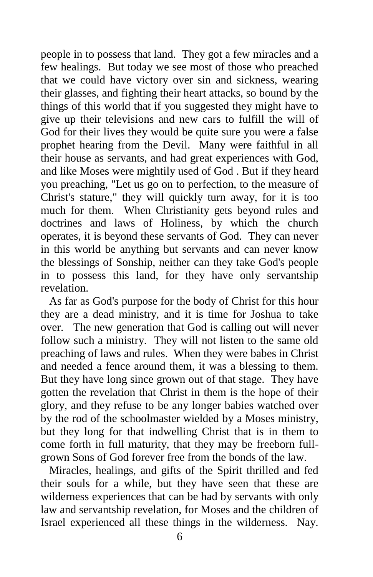people in to possess that land. They got a few miracles and a few healings. But today we see most of those who preached that we could have victory over sin and sickness, wearing their glasses, and fighting their heart attacks, so bound by the things of this world that if you suggested they might have to give up their televisions and new cars to fulfill the will of God for their lives they would be quite sure you were a false prophet hearing from the Devil. Many were faithful in all their house as servants, and had great experiences with God, and like Moses were mightily used of God . But if they heard you preaching, "Let us go on to perfection, to the measure of Christ's stature," they will quickly turn away, for it is too much for them. When Christianity gets beyond rules and doctrines and laws of Holiness, by which the church operates, it is beyond these servants of God. They can never in this world be anything but servants and can never know the blessings of Sonship, neither can they take God's people in to possess this land, for they have only servantship revelation.

 As far as God's purpose for the body of Christ for this hour they are a dead ministry, and it is time for Joshua to take over. The new generation that God is calling out will never follow such a ministry. They will not listen to the same old preaching of laws and rules. When they were babes in Christ and needed a fence around them, it was a blessing to them. But they have long since grown out of that stage. They have gotten the revelation that Christ in them is the hope of their glory, and they refuse to be any longer babies watched over by the rod of the schoolmaster wielded by a Moses ministry, but they long for that indwelling Christ that is in them to come forth in full maturity, that they may be freeborn fullgrown Sons of God forever free from the bonds of the law.

 Miracles, healings, and gifts of the Spirit thrilled and fed their souls for a while, but they have seen that these are wilderness experiences that can be had by servants with only law and servantship revelation, for Moses and the children of Israel experienced all these things in the wilderness. Nay.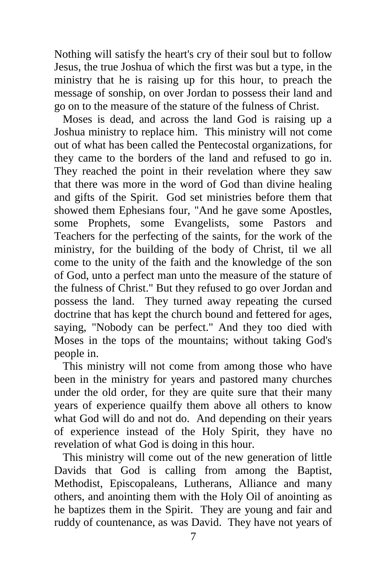Nothing will satisfy the heart's cry of their soul but to follow Jesus, the true Joshua of which the first was but a type, in the ministry that he is raising up for this hour, to preach the message of sonship, on over Jordan to possess their land and go on to the measure of the stature of the fulness of Christ.

 Moses is dead, and across the land God is raising up a Joshua ministry to replace him. This ministry will not come out of what has been called the Pentecostal organizations, for they came to the borders of the land and refused to go in. They reached the point in their revelation where they saw that there was more in the word of God than divine healing and gifts of the Spirit. God set ministries before them that showed them Ephesians four, "And he gave some Apostles, some Prophets, some Evangelists, some Pastors and Teachers for the perfecting of the saints, for the work of the ministry, for the building of the body of Christ, til we all come to the unity of the faith and the knowledge of the son of God, unto a perfect man unto the measure of the stature of the fulness of Christ." But they refused to go over Jordan and possess the land. They turned away repeating the cursed doctrine that has kept the church bound and fettered for ages, saying, "Nobody can be perfect." And they too died with Moses in the tops of the mountains; without taking God's people in.

 This ministry will not come from among those who have been in the ministry for years and pastored many churches under the old order, for they are quite sure that their many years of experience quailfy them above all others to know what God will do and not do. And depending on their years of experience instead of the Holy Spirit, they have no revelation of what God is doing in this hour.

 This ministry will come out of the new generation of little Davids that God is calling from among the Baptist, Methodist, Episcopaleans, Lutherans, Alliance and many others, and anointing them with the Holy Oil of anointing as he baptizes them in the Spirit. They are young and fair and ruddy of countenance, as was David. They have not years of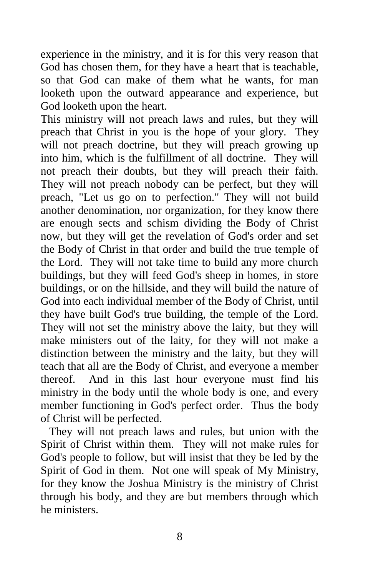experience in the ministry, and it is for this very reason that God has chosen them, for they have a heart that is teachable, so that God can make of them what he wants, for man looketh upon the outward appearance and experience, but God looketh upon the heart.

This ministry will not preach laws and rules, but they will preach that Christ in you is the hope of your glory. They will not preach doctrine, but they will preach growing up into him, which is the fulfillment of all doctrine. They will not preach their doubts, but they will preach their faith. They will not preach nobody can be perfect, but they will preach, "Let us go on to perfection." They will not build another denomination, nor organization, for they know there are enough sects and schism dividing the Body of Christ now, but they will get the revelation of God's order and set the Body of Christ in that order and build the true temple of the Lord. They will not take time to build any more church buildings, but they will feed God's sheep in homes, in store buildings, or on the hillside, and they will build the nature of God into each individual member of the Body of Christ, until they have built God's true building, the temple of the Lord. They will not set the ministry above the laity, but they will make ministers out of the laity, for they will not make a distinction between the ministry and the laity, but they will teach that all are the Body of Christ, and everyone a member thereof. And in this last hour everyone must find his ministry in the body until the whole body is one, and every member functioning in God's perfect order. Thus the body of Christ will be perfected.

 They will not preach laws and rules, but union with the Spirit of Christ within them. They will not make rules for God's people to follow, but will insist that they be led by the Spirit of God in them. Not one will speak of My Ministry, for they know the Joshua Ministry is the ministry of Christ through his body, and they are but members through which he ministers.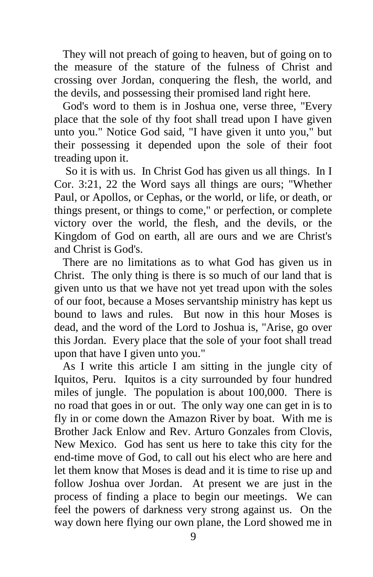They will not preach of going to heaven, but of going on to the measure of the stature of the fulness of Christ and crossing over Jordan, conquering the flesh, the world, and the devils, and possessing their promised land right here.

 God's word to them is in Joshua one, verse three, "Every place that the sole of thy foot shall tread upon I have given unto you." Notice God said, "I have given it unto you," but their possessing it depended upon the sole of their foot treading upon it.

 So it is with us. In Christ God has given us all things. In I Cor. 3:21, 22 the Word says all things are ours; "Whether Paul, or Apollos, or Cephas, or the world, or life, or death, or things present, or things to come," or perfection, or complete victory over the world, the flesh, and the devils, or the Kingdom of God on earth, all are ours and we are Christ's and Christ is God's.

 There are no limitations as to what God has given us in Christ. The only thing is there is so much of our land that is given unto us that we have not yet tread upon with the soles of our foot, because a Moses servantship ministry has kept us bound to laws and rules. But now in this hour Moses is dead, and the word of the Lord to Joshua is, "Arise, go over this Jordan. Every place that the sole of your foot shall tread upon that have I given unto you."

 As I write this article I am sitting in the jungle city of Iquitos, Peru. Iquitos is a city surrounded by four hundred miles of jungle. The population is about 100,000. There is no road that goes in or out. The only way one can get in is to fly in or come down the Amazon River by boat. With me is Brother Jack Enlow and Rev. Arturo Gonzales from Clovis, New Mexico. God has sent us here to take this city for the end-time move of God, to call out his elect who are here and let them know that Moses is dead and it is time to rise up and follow Joshua over Jordan. At present we are just in the process of finding a place to begin our meetings. We can feel the powers of darkness very strong against us. On the way down here flying our own plane, the Lord showed me in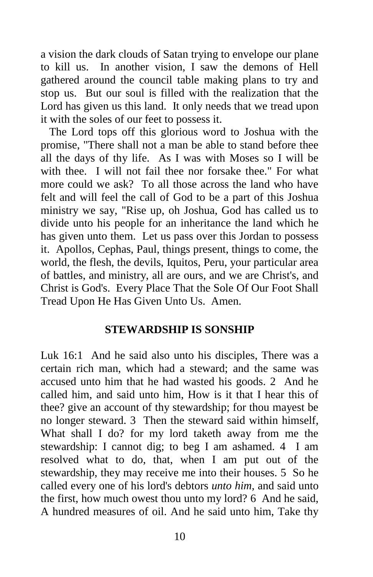a vision the dark clouds of Satan trying to envelope our plane to kill us. In another vision, I saw the demons of Hell gathered around the council table making plans to try and stop us. But our soul is filled with the realization that the Lord has given us this land. It only needs that we tread upon it with the soles of our feet to possess it.

 The Lord tops off this glorious word to Joshua with the promise, "There shall not a man be able to stand before thee all the days of thy life. As I was with Moses so I will be with thee. I will not fail thee nor forsake thee." For what more could we ask? To all those across the land who have felt and will feel the call of God to be a part of this Joshua ministry we say, "Rise up, oh Joshua, God has called us to divide unto his people for an inheritance the land which he has given unto them. Let us pass over this Jordan to possess it. Apollos, Cephas, Paul, things present, things to come, the world, the flesh, the devils, Iquitos, Peru, your particular area of battles, and ministry, all are ours, and we are Christ's, and Christ is God's. Every Place That the Sole Of Our Foot Shall Tread Upon He Has Given Unto Us. Amen.

### **STEWARDSHIP IS SONSHIP**

Luk 16:1 And he said also unto his disciples, There was a certain rich man, which had a steward; and the same was accused unto him that he had wasted his goods. 2 And he called him, and said unto him, How is it that I hear this of thee? give an account of thy stewardship; for thou mayest be no longer steward. 3 Then the steward said within himself, What shall I do? for my lord taketh away from me the stewardship: I cannot dig; to beg I am ashamed. 4 I am resolved what to do, that, when I am put out of the stewardship, they may receive me into their houses. 5 So he called every one of his lord's debtors *unto him,* and said unto the first, how much owest thou unto my lord? 6 And he said, A hundred measures of oil. And he said unto him, Take thy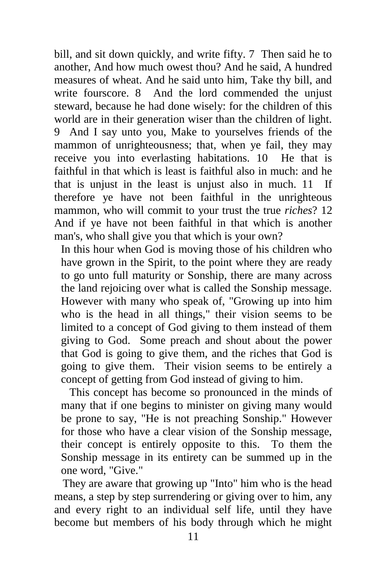bill, and sit down quickly, and write fifty. 7 Then said he to another, And how much owest thou? And he said, A hundred measures of wheat. And he said unto him, Take thy bill, and write fourscore. 8 And the lord commended the unjust steward, because he had done wisely: for the children of this world are in their generation wiser than the children of light. 9 And I say unto you, Make to yourselves friends of the mammon of unrighteousness; that, when ye fail, they may receive you into everlasting habitations. 10 He that is faithful in that which is least is faithful also in much: and he that is unjust in the least is unjust also in much. 11 If therefore ye have not been faithful in the unrighteous mammon, who will commit to your trust the true *riches*? 12 And if ye have not been faithful in that which is another man's, who shall give you that which is your own?

In this hour when God is moving those of his children who have grown in the Spirit, to the point where they are ready to go unto full maturity or Sonship, there are many across the land rejoicing over what is called the Sonship message. However with many who speak of, "Growing up into him who is the head in all things," their vision seems to be limited to a concept of God giving to them instead of them giving to God. Some preach and shout about the power that God is going to give them, and the riches that God is going to give them. Their vision seems to be entirely a concept of getting from God instead of giving to him.

 This concept has become so pronounced in the minds of many that if one begins to minister on giving many would be prone to say, "He is not preaching Sonship." However for those who have a clear vision of the Sonship message, their concept is entirely opposite to this. To them the Sonship message in its entirety can be summed up in the one word, "Give."

 They are aware that growing up "Into" him who is the head means, a step by step surrendering or giving over to him, any and every right to an individual self life, until they have become but members of his body through which he might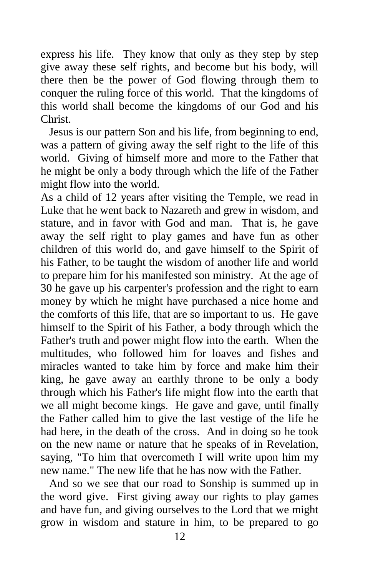express his life. They know that only as they step by step give away these self rights, and become but his body, will there then be the power of God flowing through them to conquer the ruling force of this world. That the kingdoms of this world shall become the kingdoms of our God and his Christ.

 Jesus is our pattern Son and his life, from beginning to end, was a pattern of giving away the self right to the life of this world. Giving of himself more and more to the Father that he might be only a body through which the life of the Father might flow into the world.

As a child of 12 years after visiting the Temple, we read in Luke that he went back to Nazareth and grew in wisdom, and stature, and in favor with God and man. That is, he gave away the self right to play games and have fun as other children of this world do, and gave himself to the Spirit of his Father, to be taught the wisdom of another life and world to prepare him for his manifested son ministry. At the age of 30 he gave up his carpenter's profession and the right to earn money by which he might have purchased a nice home and the comforts of this life, that are so important to us. He gave himself to the Spirit of his Father, a body through which the Father's truth and power might flow into the earth. When the multitudes, who followed him for loaves and fishes and miracles wanted to take him by force and make him their king, he gave away an earthly throne to be only a body through which his Father's life might flow into the earth that we all might become kings. He gave and gave, until finally the Father called him to give the last vestige of the life he had here, in the death of the cross. And in doing so he took on the new name or nature that he speaks of in Revelation, saying, "To him that overcometh I will write upon him my new name." The new life that he has now with the Father.

 And so we see that our road to Sonship is summed up in the word give. First giving away our rights to play games and have fun, and giving ourselves to the Lord that we might grow in wisdom and stature in him, to be prepared to go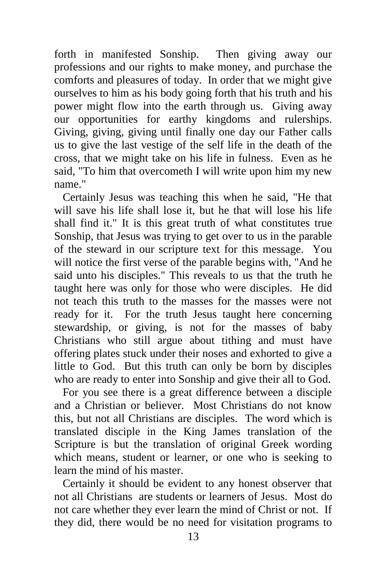forth in manifested Sonship. Then giving away our professions and our rights to make money, and purchase the comforts and pleasures of today. In order that we might give ourselves to him as his body going forth that his truth and his power might flow into the earth through us. Giving away our opportunities for earthy kingdoms and rulerships. Giving, giving, giving until finally one day our Father calls us to give the last vestige of the self life in the death of the cross, that we might take on his life in fulness. Even as he said, "To him that overcometh I will write upon him my new name."

 Certainly Jesus was teaching this when he said, "He that will save his life shall lose it, but he that will lose his life shall find it." It is this great truth of what constitutes true Sonship, that Jesus was trying to get over to us in the parable of the steward in our scripture text for this message. You will notice the first verse of the parable begins with, "And he said unto his disciples." This reveals to us that the truth he taught here was only for those who were disciples. He did not teach this truth to the masses for the masses were not ready for it. For the truth Jesus taught here concerning stewardship, or giving, is not for the masses of baby Christians who still argue about tithing and must have offering plates stuck under their noses and exhorted to give a little to God. But this truth can only be born by disciples who are ready to enter into Sonship and give their all to God.

 For you see there is a great difference between a disciple and a Christian or believer. Most Christians do not know this, but not all Christians are disciples. The word which is translated disciple in the King James translation of the Scripture is but the translation of original Greek wording which means, student or learner, or one who is seeking to learn the mind of his master.

 Certainly it should be evident to any honest observer that not all Christians are students or learners of Jesus. Most do not care whether they ever learn the mind of Christ or not. If they did, there would be no need for visitation programs to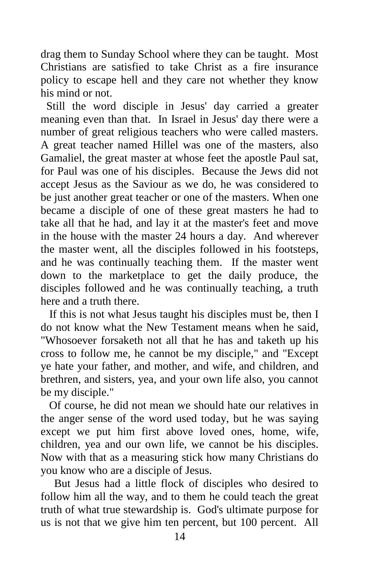drag them to Sunday School where they can be taught. Most Christians are satisfied to take Christ as a fire insurance policy to escape hell and they care not whether they know his mind or not.

 Still the word disciple in Jesus' day carried a greater meaning even than that. In Israel in Jesus' day there were a number of great religious teachers who were called masters. A great teacher named Hillel was one of the masters, also Gamaliel, the great master at whose feet the apostle Paul sat, for Paul was one of his disciples. Because the Jews did not accept Jesus as the Saviour as we do, he was considered to be just another great teacher or one of the masters. When one became a disciple of one of these great masters he had to take all that he had, and lay it at the master's feet and move in the house with the master 24 hours a day. And wherever the master went, all the disciples followed in his footsteps, and he was continually teaching them. If the master went down to the marketplace to get the daily produce, the disciples followed and he was continually teaching, a truth here and a truth there.

 If this is not what Jesus taught his disciples must be, then I do not know what the New Testament means when he said, "Whosoever forsaketh not all that he has and taketh up his cross to follow me, he cannot be my disciple," and "Except ye hate your father, and mother, and wife, and children, and brethren, and sisters, yea, and your own life also, you cannot be my disciple."

 Of course, he did not mean we should hate our relatives in the anger sense of the word used today, but he was saying except we put him first above loved ones, home, wife, children, yea and our own life, we cannot be his disciples. Now with that as a measuring stick how many Christians do you know who are a disciple of Jesus.

But Jesus had a little flock of disciples who desired to follow him all the way, and to them he could teach the great truth of what true stewardship is. God's ultimate purpose for us is not that we give him ten percent, but 100 percent. All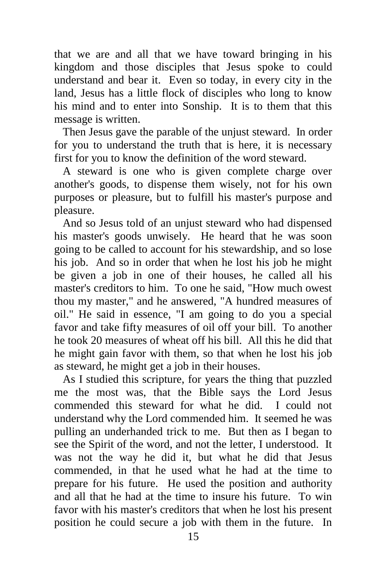that we are and all that we have toward bringing in his kingdom and those disciples that Jesus spoke to could understand and bear it. Even so today, in every city in the land, Jesus has a little flock of disciples who long to know his mind and to enter into Sonship. It is to them that this message is written.

 Then Jesus gave the parable of the unjust steward. In order for you to understand the truth that is here, it is necessary first for you to know the definition of the word steward.

 A steward is one who is given complete charge over another's goods, to dispense them wisely, not for his own purposes or pleasure, but to fulfill his master's purpose and pleasure.

 And so Jesus told of an unjust steward who had dispensed his master's goods unwisely. He heard that he was soon going to be called to account for his stewardship, and so lose his job. And so in order that when he lost his job he might be given a job in one of their houses, he called all his master's creditors to him. To one he said, "How much owest thou my master," and he answered, "A hundred measures of oil." He said in essence, "I am going to do you a special favor and take fifty measures of oil off your bill. To another he took 20 measures of wheat off his bill. All this he did that he might gain favor with them, so that when he lost his job as steward, he might get a job in their houses.

 As I studied this scripture, for years the thing that puzzled me the most was, that the Bible says the Lord Jesus commended this steward for what he did. I could not understand why the Lord commended him. It seemed he was pulling an underhanded trick to me. But then as I began to see the Spirit of the word, and not the letter, I understood. It was not the way he did it, but what he did that Jesus commended, in that he used what he had at the time to prepare for his future. He used the position and authority and all that he had at the time to insure his future. To win favor with his master's creditors that when he lost his present position he could secure a job with them in the future. In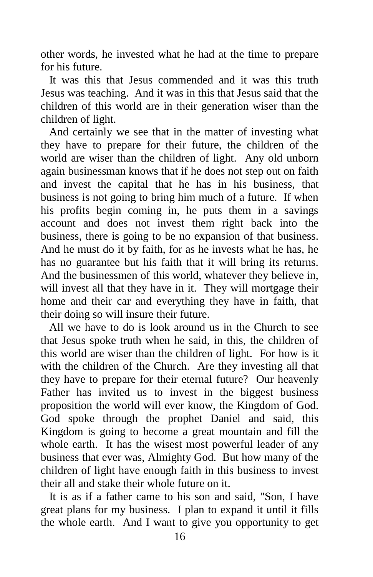other words, he invested what he had at the time to prepare for his future.

 It was this that Jesus commended and it was this truth Jesus was teaching. And it was in this that Jesus said that the children of this world are in their generation wiser than the children of light.

 And certainly we see that in the matter of investing what they have to prepare for their future, the children of the world are wiser than the children of light. Any old unborn again businessman knows that if he does not step out on faith and invest the capital that he has in his business, that business is not going to bring him much of a future. If when his profits begin coming in, he puts them in a savings account and does not invest them right back into the business, there is going to be no expansion of that business. And he must do it by faith, for as he invests what he has, he has no guarantee but his faith that it will bring its returns. And the businessmen of this world, whatever they believe in, will invest all that they have in it. They will mortgage their home and their car and everything they have in faith, that their doing so will insure their future.

 All we have to do is look around us in the Church to see that Jesus spoke truth when he said, in this, the children of this world are wiser than the children of light. For how is it with the children of the Church. Are they investing all that they have to prepare for their eternal future? Our heavenly Father has invited us to invest in the biggest business proposition the world will ever know, the Kingdom of God. God spoke through the prophet Daniel and said, this Kingdom is going to become a great mountain and fill the whole earth. It has the wisest most powerful leader of any business that ever was, Almighty God. But how many of the children of light have enough faith in this business to invest their all and stake their whole future on it.

 It is as if a father came to his son and said, "Son, I have great plans for my business. I plan to expand it until it fills the whole earth. And I want to give you opportunity to get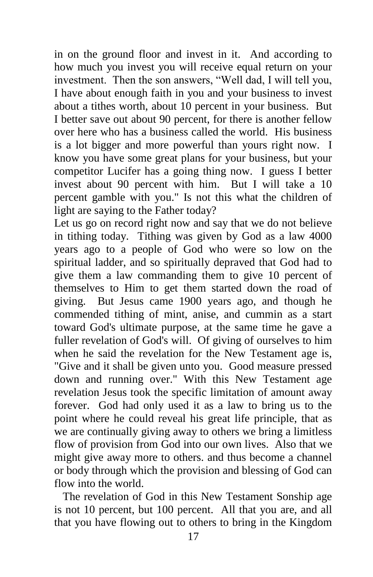in on the ground floor and invest in it. And according to how much you invest you will receive equal return on your investment. Then the son answers, "Well dad, I will tell you, I have about enough faith in you and your business to invest about a tithes worth, about 10 percent in your business. But I better save out about 90 percent, for there is another fellow over here who has a business called the world. His business is a lot bigger and more powerful than yours right now. I know you have some great plans for your business, but your competitor Lucifer has a going thing now. I guess I better invest about 90 percent with him. But I will take a 10 percent gamble with you." Is not this what the children of light are saying to the Father today?

Let us go on record right now and say that we do not believe in tithing today. Tithing was given by God as a law 4000 years ago to a people of God who were so low on the spiritual ladder, and so spiritually depraved that God had to give them a law commanding them to give 10 percent of themselves to Him to get them started down the road of giving. But Jesus came 1900 years ago, and though he commended tithing of mint, anise, and cummin as a start toward God's ultimate purpose, at the same time he gave a fuller revelation of God's will. Of giving of ourselves to him when he said the revelation for the New Testament age is, "Give and it shall be given unto you. Good measure pressed down and running over." With this New Testament age revelation Jesus took the specific limitation of amount away forever. God had only used it as a law to bring us to the point where he could reveal his great life principle, that as we are continually giving away to others we bring a limitless flow of provision from God into our own lives. Also that we might give away more to others. and thus become a channel or body through which the provision and blessing of God can flow into the world.

 The revelation of God in this New Testament Sonship age is not 10 percent, but 100 percent. All that you are, and all that you have flowing out to others to bring in the Kingdom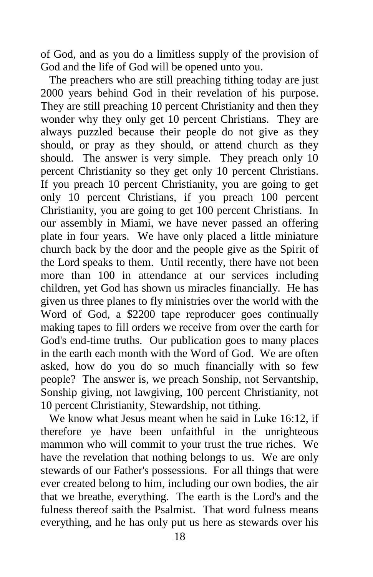of God, and as you do a limitless supply of the provision of God and the life of God will be opened unto you.

 The preachers who are still preaching tithing today are just 2000 years behind God in their revelation of his purpose. They are still preaching 10 percent Christianity and then they wonder why they only get 10 percent Christians. They are always puzzled because their people do not give as they should, or pray as they should, or attend church as they should. The answer is very simple. They preach only 10 percent Christianity so they get only 10 percent Christians. If you preach 10 percent Christianity, you are going to get only 10 percent Christians, if you preach 100 percent Christianity, you are going to get 100 percent Christians. In our assembly in Miami, we have never passed an offering plate in four years. We have only placed a little miniature church back by the door and the people give as the Spirit of the Lord speaks to them. Until recently, there have not been more than 100 in attendance at our services including children, yet God has shown us miracles financially. He has given us three planes to fly ministries over the world with the Word of God, a \$2200 tape reproducer goes continually making tapes to fill orders we receive from over the earth for God's end-time truths. Our publication goes to many places in the earth each month with the Word of God. We are often asked, how do you do so much financially with so few people? The answer is, we preach Sonship, not Servantship, Sonship giving, not lawgiving, 100 percent Christianity, not 10 percent Christianity, Stewardship, not tithing.

 We know what Jesus meant when he said in Luke 16:12, if therefore ye have been unfaithful in the unrighteous mammon who will commit to your trust the true riches. We have the revelation that nothing belongs to us. We are only stewards of our Father's possessions. For all things that were ever created belong to him, including our own bodies, the air that we breathe, everything. The earth is the Lord's and the fulness thereof saith the Psalmist. That word fulness means everything, and he has only put us here as stewards over his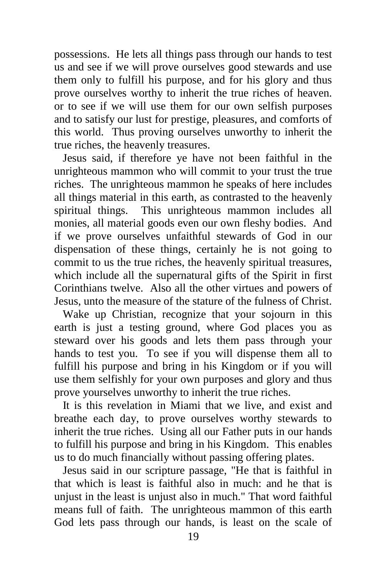possessions. He lets all things pass through our hands to test us and see if we will prove ourselves good stewards and use them only to fulfill his purpose, and for his glory and thus prove ourselves worthy to inherit the true riches of heaven. or to see if we will use them for our own selfish purposes and to satisfy our lust for prestige, pleasures, and comforts of this world. Thus proving ourselves unworthy to inherit the true riches, the heavenly treasures.

 Jesus said, if therefore ye have not been faithful in the unrighteous mammon who will commit to your trust the true riches. The unrighteous mammon he speaks of here includes all things material in this earth, as contrasted to the heavenly spiritual things. This unrighteous mammon includes all monies, all material goods even our own fleshy bodies. And if we prove ourselves unfaithful stewards of God in our dispensation of these things, certainly he is not going to commit to us the true riches, the heavenly spiritual treasures, which include all the supernatural gifts of the Spirit in first Corinthians twelve. Also all the other virtues and powers of Jesus, unto the measure of the stature of the fulness of Christ.

 Wake up Christian, recognize that your sojourn in this earth is just a testing ground, where God places you as steward over his goods and lets them pass through your hands to test you. To see if you will dispense them all to fulfill his purpose and bring in his Kingdom or if you will use them selfishly for your own purposes and glory and thus prove yourselves unworthy to inherit the true riches.

 It is this revelation in Miami that we live, and exist and breathe each day, to prove ourselves worthy stewards to inherit the true riches. Using all our Father puts in our hands to fulfill his purpose and bring in his Kingdom. This enables us to do much financially without passing offering plates.

 Jesus said in our scripture passage, "He that is faithful in that which is least is faithful also in much: and he that is unjust in the least is unjust also in much." That word faithful means full of faith. The unrighteous mammon of this earth God lets pass through our hands, is least on the scale of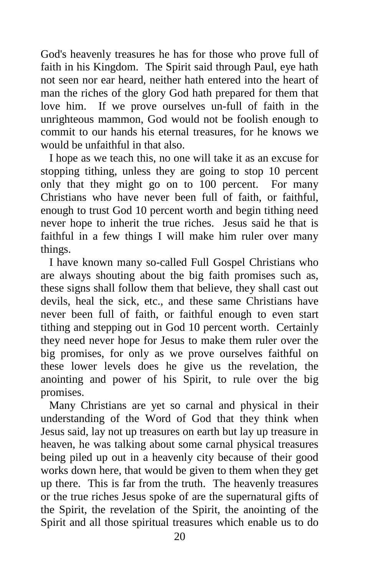God's heavenly treasures he has for those who prove full of faith in his Kingdom. The Spirit said through Paul, eye hath not seen nor ear heard, neither hath entered into the heart of man the riches of the glory God hath prepared for them that love him. If we prove ourselves un-full of faith in the unrighteous mammon, God would not be foolish enough to commit to our hands his eternal treasures, for he knows we would be unfaithful in that also.

 I hope as we teach this, no one will take it as an excuse for stopping tithing, unless they are going to stop 10 percent only that they might go on to 100 percent. For many Christians who have never been full of faith, or faithful, enough to trust God 10 percent worth and begin tithing need never hope to inherit the true riches. Jesus said he that is faithful in a few things I will make him ruler over many things.

 I have known many so-called Full Gospel Christians who are always shouting about the big faith promises such as, these signs shall follow them that believe, they shall cast out devils, heal the sick, etc., and these same Christians have never been full of faith, or faithful enough to even start tithing and stepping out in God 10 percent worth. Certainly they need never hope for Jesus to make them ruler over the big promises, for only as we prove ourselves faithful on these lower levels does he give us the revelation, the anointing and power of his Spirit, to rule over the big promises.

 Many Christians are yet so carnal and physical in their understanding of the Word of God that they think when Jesus said, lay not up treasures on earth but lay up treasure in heaven, he was talking about some carnal physical treasures being piled up out in a heavenly city because of their good works down here, that would be given to them when they get up there. This is far from the truth. The heavenly treasures or the true riches Jesus spoke of are the supernatural gifts of the Spirit, the revelation of the Spirit, the anointing of the Spirit and all those spiritual treasures which enable us to do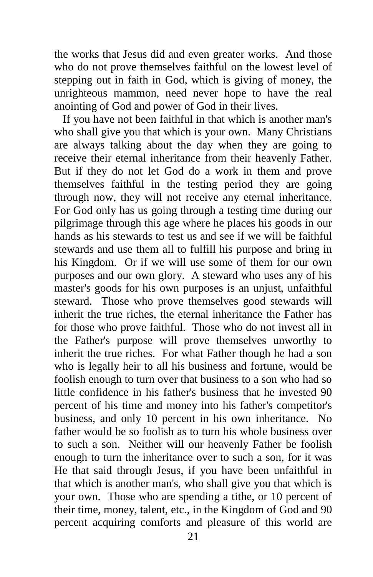the works that Jesus did and even greater works. And those who do not prove themselves faithful on the lowest level of stepping out in faith in God, which is giving of money, the unrighteous mammon, need never hope to have the real anointing of God and power of God in their lives.

 If you have not been faithful in that which is another man's who shall give you that which is your own. Many Christians are always talking about the day when they are going to receive their eternal inheritance from their heavenly Father. But if they do not let God do a work in them and prove themselves faithful in the testing period they are going through now, they will not receive any eternal inheritance. For God only has us going through a testing time during our pilgrimage through this age where he places his goods in our hands as his stewards to test us and see if we will be faithful stewards and use them all to fulfill his purpose and bring in his Kingdom. Or if we will use some of them for our own purposes and our own glory. A steward who uses any of his master's goods for his own purposes is an unjust, unfaithful steward. Those who prove themselves good stewards will inherit the true riches, the eternal inheritance the Father has for those who prove faithful. Those who do not invest all in the Father's purpose will prove themselves unworthy to inherit the true riches. For what Father though he had a son who is legally heir to all his business and fortune, would be foolish enough to turn over that business to a son who had so little confidence in his father's business that he invested 90 percent of his time and money into his father's competitor's business, and only 10 percent in his own inheritance. No father would be so foolish as to turn his whole business over to such a son. Neither will our heavenly Father be foolish enough to turn the inheritance over to such a son, for it was He that said through Jesus, if you have been unfaithful in that which is another man's, who shall give you that which is your own. Those who are spending a tithe, or 10 percent of their time, money, talent, etc., in the Kingdom of God and 90 percent acquiring comforts and pleasure of this world are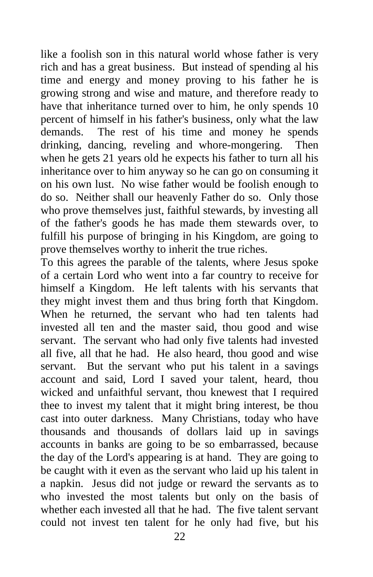like a foolish son in this natural world whose father is very rich and has a great business. But instead of spending al his time and energy and money proving to his father he is growing strong and wise and mature, and therefore ready to have that inheritance turned over to him, he only spends 10 percent of himself in his father's business, only what the law demands. The rest of his time and money he spends drinking, dancing, reveling and whore-mongering. Then when he gets 21 years old he expects his father to turn all his inheritance over to him anyway so he can go on consuming it on his own lust. No wise father would be foolish enough to do so. Neither shall our heavenly Father do so. Only those who prove themselves just, faithful stewards, by investing all of the father's goods he has made them stewards over, to fulfill his purpose of bringing in his Kingdom, are going to prove themselves worthy to inherit the true riches.

To this agrees the parable of the talents, where Jesus spoke of a certain Lord who went into a far country to receive for himself a Kingdom. He left talents with his servants that they might invest them and thus bring forth that Kingdom. When he returned, the servant who had ten talents had invested all ten and the master said, thou good and wise servant. The servant who had only five talents had invested all five, all that he had. He also heard, thou good and wise servant. But the servant who put his talent in a savings account and said, Lord I saved your talent, heard, thou wicked and unfaithful servant, thou knewest that I required thee to invest my talent that it might bring interest, be thou cast into outer darkness. Many Christians, today who have thousands and thousands of dollars laid up in savings accounts in banks are going to be so embarrassed, because the day of the Lord's appearing is at hand. They are going to be caught with it even as the servant who laid up his talent in a napkin. Jesus did not judge or reward the servants as to who invested the most talents but only on the basis of whether each invested all that he had. The five talent servant could not invest ten talent for he only had five, but his